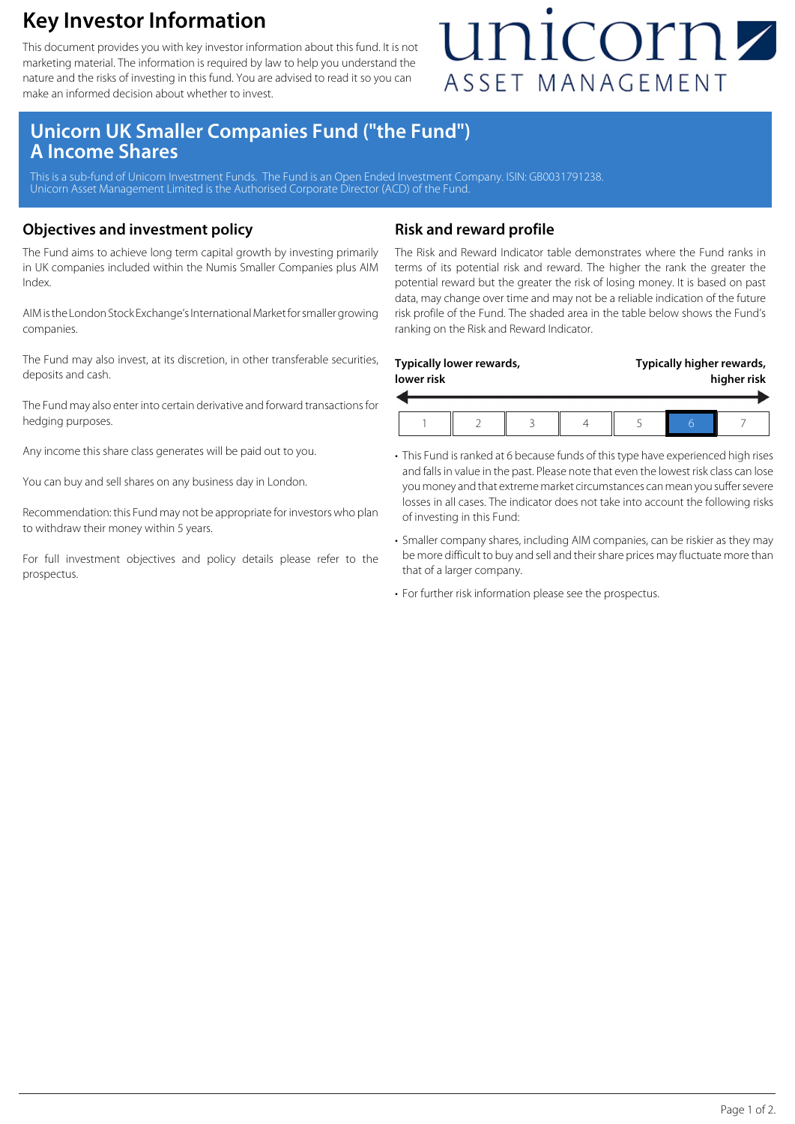### **Key Investor Information**

This document provides you with key investor information about this fund. It is not marketing material. The information is required by law to help you understand the nature and the risks of investing in this fund. You are advised to read it so you can make an informed decision about whether to invest.

## unicornz ASSET MANAGEMENT

### **Unicorn UK Smaller Companies Fund ("the Fund") A Income Shares**

This is a sub-fund of Unicorn Investment Funds. The Fund is an Open Ended Investment Company. ISIN: GB0031791238. Unicorn Asset Management Limited is the Authorised Corporate Director (ACD) of the Fund.

### **Objectives and investment policy**

The Fund aims to achieve long term capital growth by investing primarily in UK companies included within the Numis Smaller Companies plus AIM Index.

AIM is the London Stock Exchange's International Market for smaller growing companies.

The Fund may also invest, at its discretion, in other transferable securities, deposits and cash.

The Fund may also enter into certain derivative and forward transactions for hedging purposes.

Any income this share class generates will be paid out to you.

You can buy and sell shares on any business day in London.

Recommendation: this Fund may not be appropriate for investors who plan to withdraw their money within 5 years.

For full investment objectives and policy details please refer to the prospectus.

### **Risk and reward profile**

The Risk and Reward Indicator table demonstrates where the Fund ranks in terms of its potential risk and reward. The higher the rank the greater the potential reward but the greater the risk of losing money. It is based on past data, may change over time and may not be a reliable indication of the future risk profile of the Fund. The shaded area in the table below shows the Fund's ranking on the Risk and Reward Indicator.

| Typically lower rewards, |  |  |  | Typically higher rewards, |  |  |
|--------------------------|--|--|--|---------------------------|--|--|
| lower risk               |  |  |  | higher risk               |  |  |
|                          |  |  |  |                           |  |  |

- This Fund is ranked at 6 because funds of this type have experienced high rises and falls in value in the past. Please note that even the lowest risk class can lose you money and that extreme market circumstances can mean you suffer severe losses in all cases. The indicator does not take into account the following risks of investing in this Fund:
- Smaller company shares, including AIM companies, can be riskier as they may be more difficult to buy and sell and their share prices may fluctuate more than that of a larger company.
- For further risk information please see the prospectus.